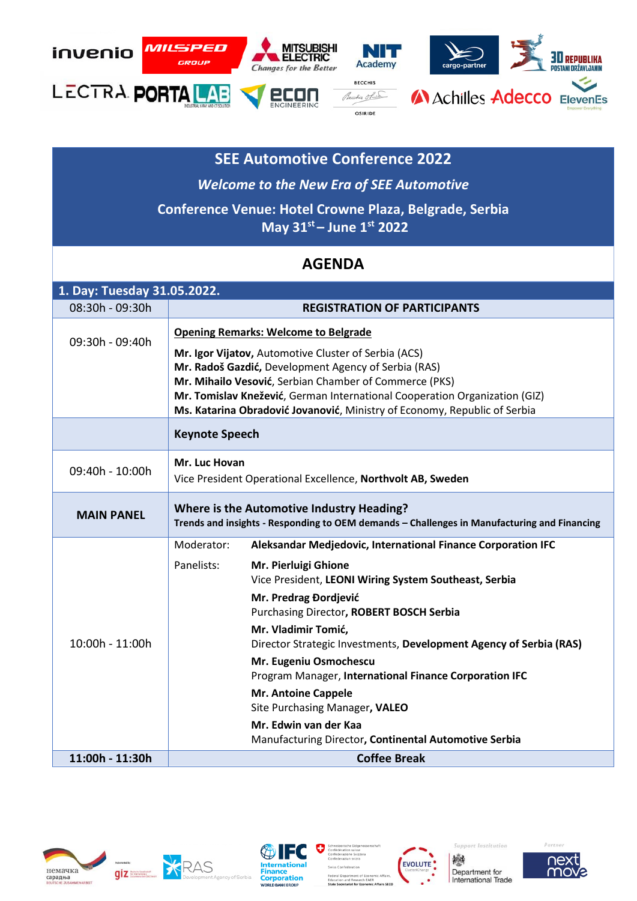

## **SEE Automotive Conference 2022**

*Welcome to the New Era of SEE Automotive*  **Conference Venue: Hotel Crowne Plaza, Belgrade, Serbia May 31st – June 1st 2022**

## **AGENDA**

| 1. Day: Tuesday 31.05.2022. |                                                                                                                                          |                                                                                           |  |
|-----------------------------|------------------------------------------------------------------------------------------------------------------------------------------|-------------------------------------------------------------------------------------------|--|
| 08:30h - 09:30h             |                                                                                                                                          | <b>REGISTRATION OF PARTICIPANTS</b>                                                       |  |
| 09:30h - 09:40h             | <b>Opening Remarks: Welcome to Belgrade</b><br>Mr. Igor Vijatov, Automotive Cluster of Serbia (ACS)                                      |                                                                                           |  |
|                             | Mr. Radoš Gazdić, Development Agency of Serbia (RAS)                                                                                     |                                                                                           |  |
|                             | Mr. Mihailo Vesović, Serbian Chamber of Commerce (PKS)<br>Mr. Tomislav Knežević, German International Cooperation Organization (GIZ)     |                                                                                           |  |
|                             | Ms. Katarina Obradović Jovanović, Ministry of Economy, Republic of Serbia                                                                |                                                                                           |  |
|                             | <b>Keynote Speech</b>                                                                                                                    |                                                                                           |  |
| 09:40h - 10:00h             | Mr. Luc Hovan<br>Vice President Operational Excellence, Northvolt AB, Sweden                                                             |                                                                                           |  |
| <b>MAIN PANEL</b>           | Where is the Automotive Industry Heading?<br>Trends and insights - Responding to OEM demands - Challenges in Manufacturing and Financing |                                                                                           |  |
|                             | Moderator:                                                                                                                               | Aleksandar Medjedovic, International Finance Corporation IFC                              |  |
| 10:00h - 11:00h             | Panelists:                                                                                                                               | Mr. Pierluigi Ghione<br>Vice President, LEONI Wiring System Southeast, Serbia             |  |
|                             |                                                                                                                                          | Mr. Predrag Đordjević                                                                     |  |
|                             |                                                                                                                                          | Purchasing Director, ROBERT BOSCH Serbia                                                  |  |
|                             |                                                                                                                                          | Mr. Vladimir Tomić,<br>Director Strategic Investments, Development Agency of Serbia (RAS) |  |
|                             |                                                                                                                                          | Mr. Eugeniu Osmochescu<br>Program Manager, International Finance Corporation IFC          |  |
|                             |                                                                                                                                          | <b>Mr. Antoine Cappele</b><br>Site Purchasing Manager, VALEO                              |  |
|                             |                                                                                                                                          | Mr. Edwin van der Kaa<br>Manufacturing Director, Continental Automotive Serbia            |  |
| 11:00h - 11:30h             | <b>Coffee Break</b>                                                                                                                      |                                                                                           |  |













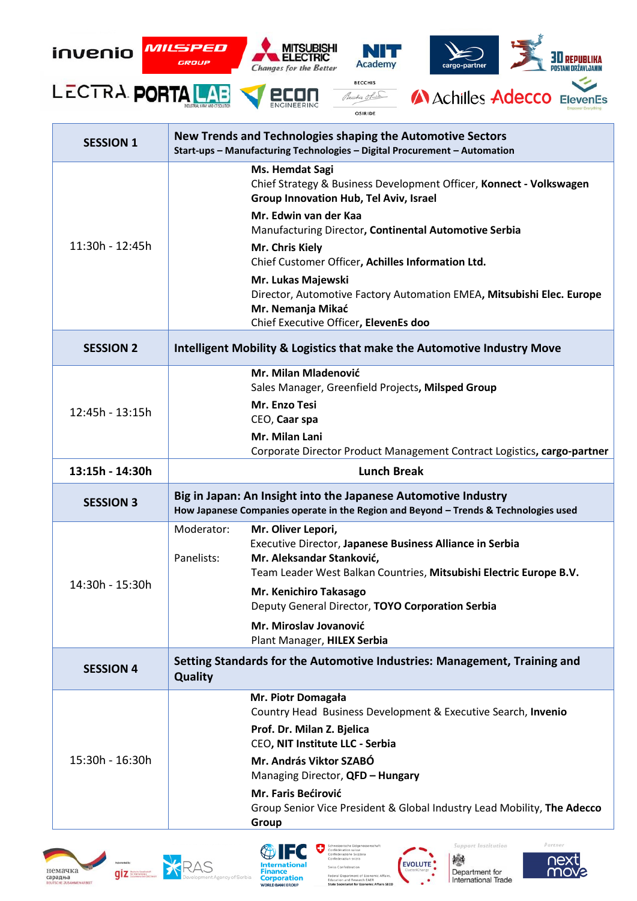

| <b>SESSION 1</b> | New Trends and Technologies shaping the Automotive Sectors<br>Start-ups - Manufacturing Technologies - Digital Procurement - Automation                                                                                                                                                                                                                                                                                                                        |  |
|------------------|----------------------------------------------------------------------------------------------------------------------------------------------------------------------------------------------------------------------------------------------------------------------------------------------------------------------------------------------------------------------------------------------------------------------------------------------------------------|--|
| 11:30h - 12:45h  | <b>Ms. Hemdat Sagi</b><br>Chief Strategy & Business Development Officer, Konnect - Volkswagen<br>Group Innovation Hub, Tel Aviv, Israel<br>Mr. Edwin van der Kaa<br>Manufacturing Director, Continental Automotive Serbia<br>Mr. Chris Kiely<br>Chief Customer Officer, Achilles Information Ltd.<br>Mr. Lukas Majewski<br>Director, Automotive Factory Automation EMEA, Mitsubishi Elec. Europe<br>Mr. Nemanja Mikać<br>Chief Executive Officer, ElevenEs doo |  |
| <b>SESSION 2</b> | Intelligent Mobility & Logistics that make the Automotive Industry Move                                                                                                                                                                                                                                                                                                                                                                                        |  |
| 12:45h - 13:15h  | Mr. Milan Mladenović<br>Sales Manager, Greenfield Projects, Milsped Group<br>Mr. Enzo Tesi<br>CEO, Caar spa<br>Mr. Milan Lani<br>Corporate Director Product Management Contract Logistics, cargo-partner                                                                                                                                                                                                                                                       |  |
| 13:15h - 14:30h  | <b>Lunch Break</b>                                                                                                                                                                                                                                                                                                                                                                                                                                             |  |
| <b>SESSION 3</b> | Big in Japan: An Insight into the Japanese Automotive Industry<br>How Japanese Companies operate in the Region and Beyond - Trends & Technologies used                                                                                                                                                                                                                                                                                                         |  |
| 14:30h - 15:30h  | Moderator:<br>Mr. Oliver Lepori,<br>Executive Director, Japanese Business Alliance in Serbia<br>Panelists:<br>Mr. Aleksandar Stanković,<br>Team Leader West Balkan Countries, Mitsubishi Electric Europe B.V.<br>Mr. Kenichiro Takasago<br>Deputy General Director, TOYO Corporation Serbia<br>Mr. Miroslav Jovanović                                                                                                                                          |  |
|                  | Plant Manager, HILEX Serbia<br>Setting Standards for the Automotive Industries: Management, Training and                                                                                                                                                                                                                                                                                                                                                       |  |
| <b>SESSION 4</b> | <b>Quality</b>                                                                                                                                                                                                                                                                                                                                                                                                                                                 |  |
| 15:30h - 16:30h  | Mr. Piotr Domagała<br>Country Head Business Development & Executive Search, Invenio<br>Prof. Dr. Milan Z. Bjelica<br>CEO, NIT Institute LLC - Serbia<br>Mr. András Viktor SZABÓ<br>Managing Director, QFD - Hungary<br>Mr. Faris Bećirović                                                                                                                                                                                                                     |  |







V